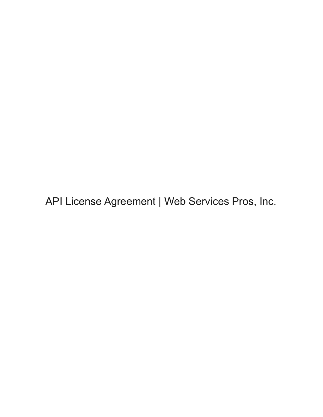API License Agreement | Web Services Pros, Inc.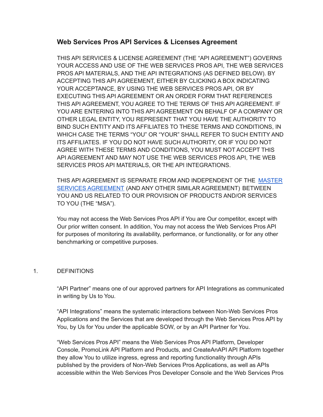# **Web Services Pros API Services & Licenses Agreement**

THIS API SERVICES & LICENSE AGREEMENT (THE "API AGREEMENT") GOVERNS YOUR ACCESS AND USE OF THE WEB SERVICES PROS API, THE WEB SERVICES PROS API MATERIALS, AND THE API INTEGRATIONS (AS DEFINED BELOW). BY ACCEPTING THIS API AGREEMENT, EITHER BY CLICKING A BOX INDICATING YOUR ACCEPTANCE, BY USING THE WEB SERVICES PROS API, OR BY EXECUTING THIS API AGREEMENT OR AN ORDER FORM THAT REFERENCES THIS API AGREEMENT, YOU AGREE TO THE TERMS OF THIS API AGREEMENT. IF YOU ARE ENTERING INTO THIS API AGREEMENT ON BEHALF OF A COMPANY OR OTHER LEGAL ENTITY, YOU REPRESENT THAT YOU HAVE THE AUTHORITY TO BIND SUCH ENTITY AND ITS AFFILIATES TO THESE TERMS AND CONDITIONS, IN WHICH CASE THE TERMS "YOU" OR "YOUR" SHALL REFER TO SUCH ENTITY AND ITS AFFILIATES. IF YOU DO NOT HAVE SUCH AUTHORITY, OR IF YOU DO NOT AGREE WITH THESE TERMS AND CONDITIONS, YOU MUST NOT ACCEPT THIS API AGREEMENT AND MAY NOT USE THE WEB SERVICES PROS API, THE WEB SERVICES PROS API MATERIALS, OR THE API INTEGRATIONS.

THIS API AGREEMENT IS SEPARATE FROM AND INDEPENDENT OF THE [MASTER](https://www.webservicespros.com/wp-content/uploads/2022/05/Master-Services-Agreement_Web-Services-Pros.pdf) SERVICES [AGREEMENT](https://www.webservicespros.com/wp-content/uploads/2022/05/Master-Services-Agreement_Web-Services-Pros.pdf) (AND ANY OTHER SIMILAR AGREEMENT) BETWEEN YOU AND US RELATED TO OUR PROVISION OF PRODUCTS AND/OR SERVICES TO YOU (THE "MSA").

You may not access the Web Services Pros API if You are Our competitor, except with Our prior written consent. In addition, You may not access the Web Services Pros API for purposes of monitoring its availability, performance, or functionality, or for any other benchmarking or competitive purposes.

## 1. DEFINITIONS

"API Partner" means one of our approved partners for API Integrations as communicated in writing by Us to You.

"API Integrations" means the systematic interactions between Non-Web Services Pros Applications and the Services that are developed through the Web Services Pros API by You, by Us for You under the applicable SOW, or by an API Partner for You.

"Web Services Pros API" means the Web Services Pros API Platform, Developer Console, PromoLink API Platform and Products, and CreateAnAPI API Platform together they allow You to utilize ingress, egress and reporting functionality through APIs published by the providers of Non-Web Services Pros Applications, as well as APIs accessible within the Web Services Pros Developer Console and the Web Services Pros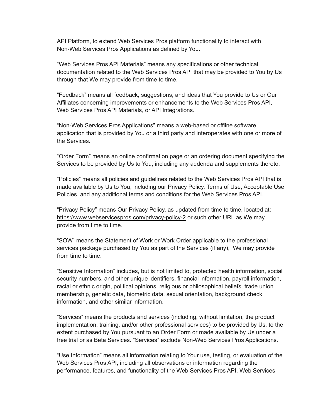API Platform, to extend Web Services Pros platform functionality to interact with Non-Web Services Pros Applications as defined by You.

"Web Services Pros API Materials" means any specifications or other technical documentation related to the Web Services Pros API that may be provided to You by Us through that We may provide from time to time.

"Feedback" means all feedback, suggestions, and ideas that You provide to Us or Our Affiliates concerning improvements or enhancements to the Web Services Pros API, Web Services Pros API Materials, or API Integrations.

"Non-Web Services Pros Applications" means a web-based or offline software application that is provided by You or a third party and interoperates with one or more of the Services.

"Order Form" means an online confirmation page or an ordering document specifying the Services to be provided by Us to You, including any addenda and supplements thereto.

"Policies" means all policies and guidelines related to the Web Services Pros API that is made available by Us to You, including our Privacy Policy, Terms of Use, Acceptable Use Policies, and any additional terms and conditions for the Web Services Pros API.

"Privacy Policy" means Our Privacy Policy, as updated from time to time, located at: [https://www.webservicespros.com/privacy-policy-2](https://www.webservicespros.com/privacy-policy-2/) or such other URL as We may provide from time to time.

"SOW" means the Statement of Work or Work Order applicable to the professional services package purchased by You as part of the Services (if any), We may provide from time to time.

"Sensitive Information" includes, but is not limited to, protected health information, social security numbers, and other unique identifiers, financial information, payroll information, racial or ethnic origin, political opinions, religious or philosophical beliefs, trade union membership, genetic data, biometric data, sexual orientation, background check information, and other similar information.

"Services" means the products and services (including, without limitation, the product implementation, training, and/or other professional services) to be provided by Us, to the extent purchased by You pursuant to an Order Form or made available by Us under a free trial or as Beta Services. "Services" exclude Non-Web Services Pros Applications.

"Use Information" means all information relating to Your use, testing, or evaluation of the Web Services Pros API, including all observations or information regarding the performance, features, and functionality of the Web Services Pros API, Web Services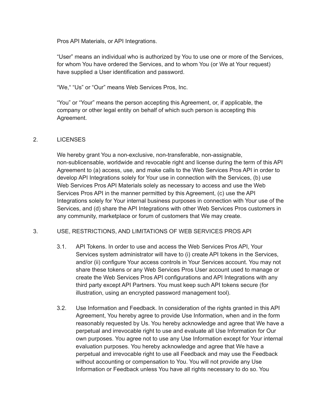Pros API Materials, or API Integrations.

"User" means an individual who is authorized by You to use one or more of the Services, for whom You have ordered the Services, and to whom You (or We at Your request) have supplied a User identification and password.

"We," "Us" or "Our" means Web Services Pros, Inc.

"You" or "Your" means the person accepting this Agreement, or, if applicable, the company or other legal entity on behalf of which such person is accepting this Agreement.

### 2. LICENSES

We hereby grant You a non-exclusive, non-transferable, non-assignable, non-sublicensable, worldwide and revocable right and license during the term of this API Agreement to (a) access, use, and make calls to the Web Services Pros API in order to develop API Integrations solely for Your use in connection with the Services, (b) use Web Services Pros API Materials solely as necessary to access and use the Web Services Pros API in the manner permitted by this Agreement, (c) use the API Integrations solely for Your internal business purposes in connection with Your use of the Services, and (d) share the API Integrations with other Web Services Pros customers in any community, marketplace or forum of customers that We may create.

### 3. USE, RESTRICTIONS, AND LIMITATIONS OF WEB SERVICES PROS API

- 3.1. API Tokens. In order to use and access the Web Services Pros API, Your Services system administrator will have to (i) create API tokens in the Services, and/or (ii) configure Your access controls in Your Services account. You may not share these tokens or any Web Services Pros User account used to manage or create the Web Services Pros API configurations and API Integrations with any third party except API Partners. You must keep such API tokens secure (for illustration, using an encrypted password management tool).
- 3.2. Use Information and Feedback. In consideration of the rights granted in this API Agreement, You hereby agree to provide Use Information, when and in the form reasonably requested by Us. You hereby acknowledge and agree that We have a perpetual and irrevocable right to use and evaluate all Use Information for Our own purposes. You agree not to use any Use Information except for Your internal evaluation purposes. You hereby acknowledge and agree that We have a perpetual and irrevocable right to use all Feedback and may use the Feedback without accounting or compensation to You. You will not provide any Use Information or Feedback unless You have all rights necessary to do so. You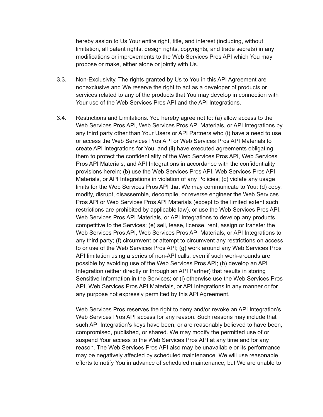hereby assign to Us Your entire right, title, and interest (including, without limitation, all patent rights, design rights, copyrights, and trade secrets) in any modifications or improvements to the Web Services Pros API which You may propose or make, either alone or jointly with Us.

- 3.3. Non-Exclusivity. The rights granted by Us to You in this API Agreement are nonexclusive and We reserve the right to act as a developer of products or services related to any of the products that You may develop in connection with Your use of the Web Services Pros API and the API Integrations.
- 3.4. Restrictions and Limitations. You hereby agree not to: (a) allow access to the Web Services Pros API, Web Services Pros API Materials, or API Integrations by any third party other than Your Users or API Partners who (i) have a need to use or access the Web Services Pros API or Web Services Pros API Materials to create API Integrations for You, and (ii) have executed agreements obligating them to protect the confidentiality of the Web Services Pros API, Web Services Pros API Materials, and API Integrations in accordance with the confidentiality provisions herein; (b) use the Web Services Pros API, Web Services Pros API Materials, or API Integrations in violation of any Policies; (c) violate any usage limits for the Web Services Pros API that We may communicate to You; (d) copy, modify, disrupt, disassemble, decompile, or reverse engineer the Web Services Pros API or Web Services Pros API Materials (except to the limited extent such restrictions are prohibited by applicable law), or use the Web Services Pros API, Web Services Pros API Materials, or API Integrations to develop any products competitive to the Services; (e) sell, lease, license, rent, assign or transfer the Web Services Pros API, Web Services Pros API Materials, or API Integrations to any third party; (f) circumvent or attempt to circumvent any restrictions on access to or use of the Web Services Pros API; (g) work around any Web Services Pros API limitation using a series of non-API calls, even if such work-arounds are possible by avoiding use of the Web Services Pros API; (h) develop an API Integration (either directly or through an API Partner) that results in storing Sensitive Information in the Services; or (i) otherwise use the Web Services Pros API, Web Services Pros API Materials, or API Integrations in any manner or for any purpose not expressly permitted by this API Agreement.

Web Services Pros reserves the right to deny and/or revoke an API Integration's Web Services Pros API access for any reason. Such reasons may include that such API Integration's keys have been, or are reasonably believed to have been, compromised, published, or shared. We may modify the permitted use of or suspend Your access to the Web Services Pros API at any time and for any reason. The Web Services Pros API also may be unavailable or its performance may be negatively affected by scheduled maintenance. We will use reasonable efforts to notify You in advance of scheduled maintenance, but We are unable to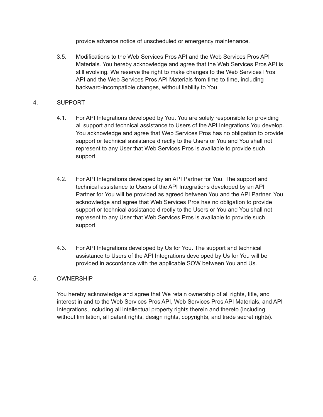provide advance notice of unscheduled or emergency maintenance.

3.5. Modifications to the Web Services Pros API and the Web Services Pros API Materials. You hereby acknowledge and agree that the Web Services Pros API is still evolving. We reserve the right to make changes to the Web Services Pros API and the Web Services Pros API Materials from time to time, including backward-incompatible changes, without liability to You.

### 4. SUPPORT

- 4.1. For API Integrations developed by You. You are solely responsible for providing all support and technical assistance to Users of the API Integrations You develop. You acknowledge and agree that Web Services Pros has no obligation to provide support or technical assistance directly to the Users or You and You shall not represent to any User that Web Services Pros is available to provide such support.
- 4.2. For API Integrations developed by an API Partner for You. The support and technical assistance to Users of the API Integrations developed by an API Partner for You will be provided as agreed between You and the API Partner. You acknowledge and agree that Web Services Pros has no obligation to provide support or technical assistance directly to the Users or You and You shall not represent to any User that Web Services Pros is available to provide such support.
- 4.3. For API Integrations developed by Us for You. The support and technical assistance to Users of the API Integrations developed by Us for You will be provided in accordance with the applicable SOW between You and Us.

## 5. OWNERSHIP

You hereby acknowledge and agree that We retain ownership of all rights, title, and interest in and to the Web Services Pros API, Web Services Pros API Materials, and API Integrations, including all intellectual property rights therein and thereto (including without limitation, all patent rights, design rights, copyrights, and trade secret rights).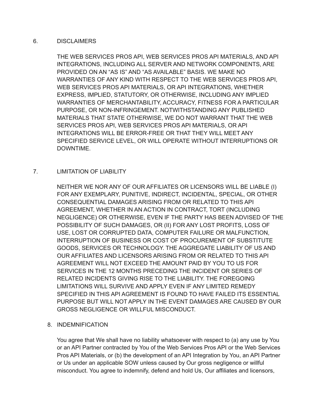### 6. DISCLAIMERS

THE WEB SERVICES PROS API, WEB SERVICES PROS API MATERIALS, AND API INTEGRATIONS, INCLUDING ALL SERVER AND NETWORK COMPONENTS, ARE PROVIDED ON AN "AS IS" AND "AS AVAILABLE" BASIS. WE MAKE NO WARRANTIES OF ANY KIND WITH RESPECT TO THE WEB SERVICES PROS API, WEB SERVICES PROS API MATERIALS, OR API INTEGRATIONS, WHETHER EXPRESS, IMPLIED, STATUTORY, OR OTHERWISE, INCLUDING ANY IMPLIED WARRANTIES OF MERCHANTABILITY, ACCURACY, FITNESS FOR A PARTICULAR PURPOSE, OR NON-INFRINGEMENT. NOTWITHSTANDING ANY PUBLISHED MATERIALS THAT STATE OTHERWISE, WE DO NOT WARRANT THAT THE WEB SERVICES PROS API, WEB SERVICES PROS API MATERIALS, OR API INTEGRATIONS WILL BE ERROR-FREE OR THAT THEY WILL MEET ANY SPECIFIED SERVICE LEVEL, OR WILL OPERATE WITHOUT INTERRUPTIONS OR DOWNTIME.

### 7. LIMITATION OF LIABILITY

NEITHER WE NOR ANY OF OUR AFFILIATES OR LICENSORS WILL BE LIABLE (I) FOR ANY EXEMPLARY, PUNITIVE, INDIRECT, INCIDENTAL, SPECIAL, OR OTHER CONSEQUENTIAL DAMAGES ARISING FROM OR RELATED TO THIS API AGREEMENT, WHETHER IN AN ACTION IN CONTRACT, TORT (INCLUDING NEGLIGENCE) OR OTHERWISE, EVEN IF THE PARTY HAS BEEN ADVISED OF THE POSSIBILITY OF SUCH DAMAGES, OR (II) FOR ANY LOST PROFITS, LOSS OF USE, LOST OR CORRUPTED DATA, COMPUTER FAILURE OR MALFUNCTION, INTERRUPTION OF BUSINESS OR COST OF PROCUREMENT OF SUBSTITUTE GOODS, SERVICES OR TECHNOLOGY. THE AGGREGATE LIABILITY OF US AND OUR AFFILIATES AND LICENSORS ARISING FROM OR RELATED TO THIS API AGREEMENT WILL NOT EXCEED THE AMOUNT PAID BY YOU TO US FOR SERVICES IN THE 12 MONTHS PRECEDING THE INCIDENT OR SERIES OF RELATED INCIDENTS GIVING RISE TO THE LIABILITY. THE FOREGOING LIMITATIONS WILL SURVIVE AND APPLY EVEN IF ANY LIMITED REMEDY SPECIFIED IN THIS API AGREEMENT IS FOUND TO HAVE FAILED ITS ESSENTIAL PURPOSE BUT WILL NOT APPLY IN THE EVENT DAMAGES ARE CAUSED BY OUR GROSS NEGLIGENCE OR WILLFUL MISCONDUCT.

### 8. INDEMNIFICATION

You agree that We shall have no liability whatsoever with respect to (a) any use by You or an API Partner contracted by You of the Web Services Pros API or the Web Services Pros API Materials, or (b) the development of an API Integration by You, an API Partner or Us under an applicable SOW unless caused by Our gross negligence or willful misconduct. You agree to indemnify, defend and hold Us, Our affiliates and licensors,